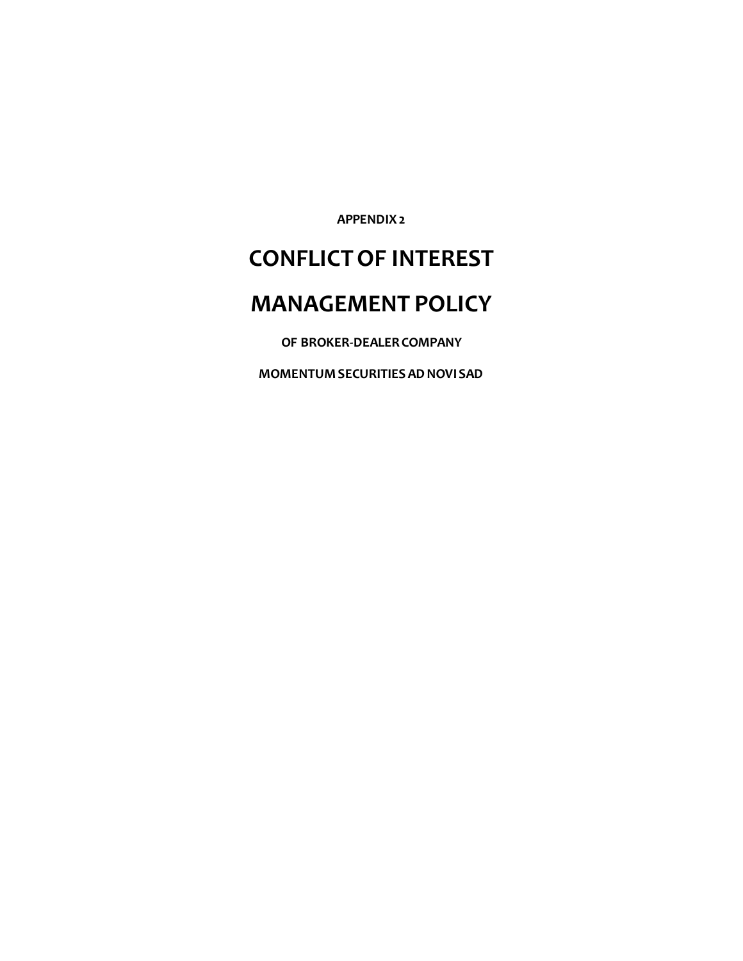**APPENDIX 2**

# **CONFLICT OF INTEREST**

# **MANAGEMENT POLICY**

**OF BROKER-DEALER COMPANY**

**MOMENTUM SECURITIES AD NOVI SAD**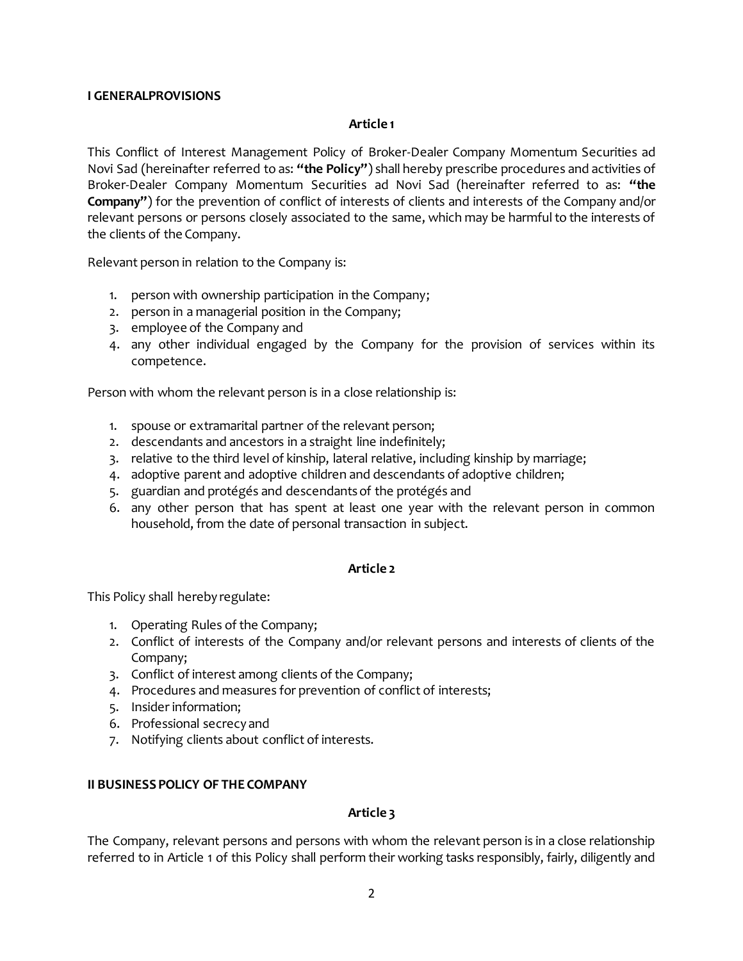# **I GENERALPROVISIONS**

# **Article 1**

This Conflict of Interest Management Policy of Broker-Dealer Company Momentum Securities ad Novi Sad (hereinafter referred to as: **"the Policy"**) shall hereby prescribe procedures and activities of Broker-Dealer Company Momentum Securities ad Novi Sad (hereinafter referred to as: **"the Company"**) for the prevention of conflict of interests of clients and interests of the Company and/or relevant persons or persons closely associated to the same, which may be harmful to the interests of the clients of the Company.

Relevant person in relation to the Company is:

- 1. person with ownership participation in the Company;
- 2. person in a managerial position in the Company;
- 3. employee of the Company and
- 4. any other individual engaged by the Company for the provision of services within its competence.

Person with whom the relevant person is in a close relationship is:

- 1. spouse or extramarital partner of the relevant person;
- 2. descendants and ancestors in a straight line indefinitely;
- 3. relative to the third level of kinship, lateral relative, including kinship by marriage;
- 4. adoptive parent and adoptive children and descendants of adoptive children;
- 5. guardian and protégés and descendants of the protégés and
- 6. any other person that has spent at least one year with the relevant person in common household, from the date of personal transaction in subject.

# **Article 2**

This Policy shall hereby regulate:

- 1. Operating Rules of the Company;
- 2. Conflict of interests of the Company and/or relevant persons and interests of clients of the Company;
- 3. Conflict of interest among clients of the Company;
- 4. Procedures and measures for prevention of conflict of interests;
- 5. Insider information;
- 6. Professional secrecy and
- 7. Notifying clients about conflict of interests.

# **II BUSINESS POLICY OF THE COMPANY**

# **Article 3**

The Company, relevant persons and persons with whom the relevant person is in a close relationship referred to in Article 1 of this Policy shall perform their working tasks responsibly, fairly, diligently and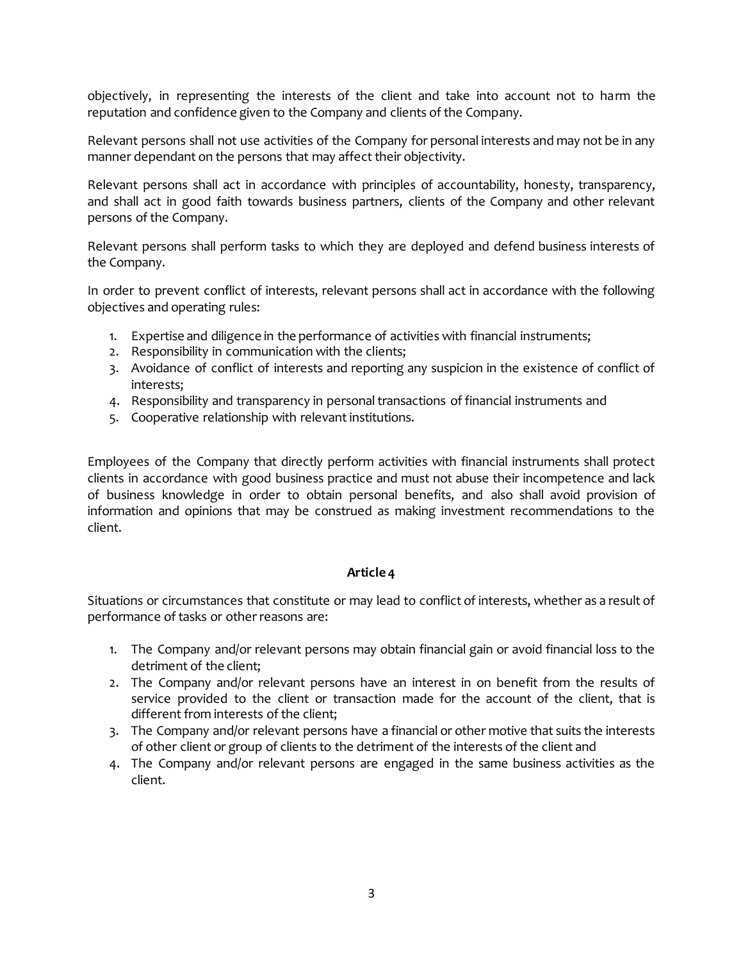objectively, in representing the interests of the client and take into account not to harm the reputation and confidence given to the Company and clients of the Company.

Relevant persons shall not use activities of the Company for personal interests and may not be in any manner dependant on the persons that may affect their objectivity.

Relevant persons shall act in accordance with principles of accountability, honesty, transparency, and shall act in good faith towards business partners, clients of the Company and other relevant persons of the Company.

Relevant persons shall perform tasks to which they are deployed and defend business interests of the Company.

In order to prevent conflict of interests, relevant persons shall act in accordance with the following objectives and operating rules:

- 1. Expertise and diligence in the performance of activities with financial instruments;
- 2. Responsibility in communication with the clients;
- 3. Avoidance of conflict of interests and reporting any suspicion in the existence of conflict of interests;
- 4. Responsibility and transparency in personal transactions of financial instruments and
- 5. Cooperative relationship with relevant institutions.

Employees of the Company that directly perform activities with financial instruments shall protect clients in accordance with good business practice and must not abuse their incompetence and lack of business knowledge in order to obtain personal benefits, and also shall avoid provision of information and opinions that may be construed as making investment recommendations to the client.

# **Article 4**

Situations or circumstances that constitute or may lead to conflict of interests, whether as a result of performance of tasks or other reasons are:

- 1. The Company and/or relevant persons may obtain financial gain or avoid financial loss to the detriment of the client;
- 2. The Company and/or relevant persons have an interest in on benefit from the results of service provided to the client or transaction made for the account of the client, that is different from interests of the client;
- 3. The Company and/or relevant persons have a financial or other motive that suits the interests of other client or group of clients to the detriment of the interests of the client and
- 4. The Company and/or relevant persons are engaged in the same business activities as the client.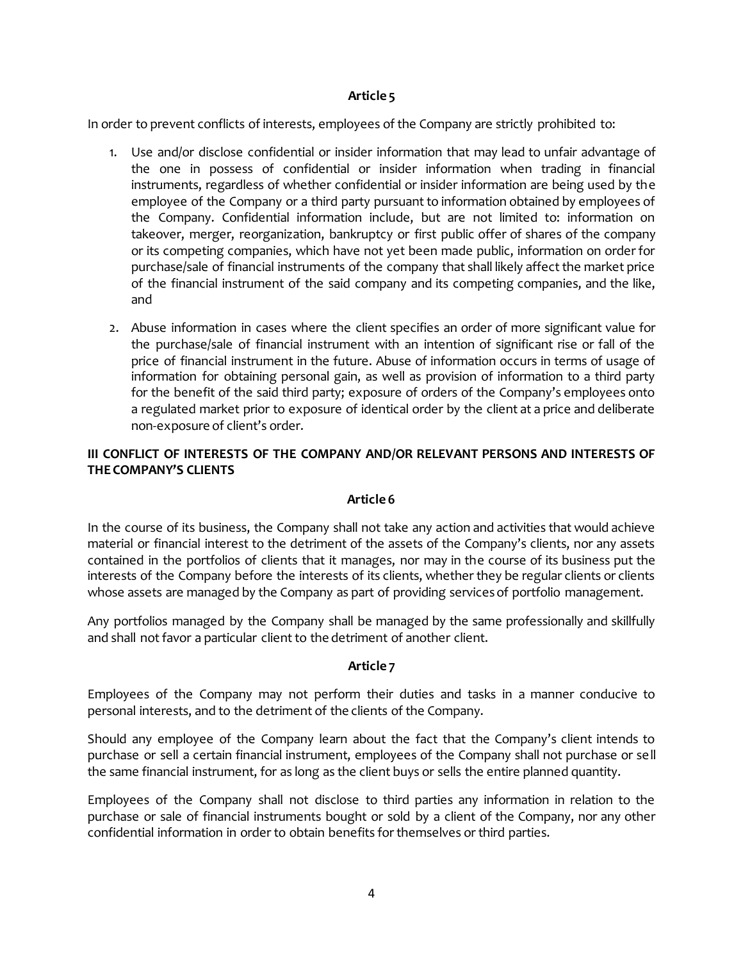# **Article 5**

In order to prevent conflicts of interests, employees of the Company are strictly prohibited to:

- 1. Use and/or disclose confidential or insider information that may lead to unfair advantage of the one in possess of confidential or insider information when trading in financial instruments, regardless of whether confidential or insider information are being used by the employee of the Company or a third party pursuant to information obtained by employees of the Company. Confidential information include, but are not limited to: information on takeover, merger, reorganization, bankruptcy or first public offer of shares of the company or its competing companies, which have not yet been made public, information on order for purchase/sale of financial instruments of the company that shall likely affect the market price of the financial instrument of the said company and its competing companies, and the like, and
- 2. Abuse information in cases where the client specifies an order of more significant value for the purchase/sale of financial instrument with an intention of significant rise or fall of the price of financial instrument in the future. Abuse of information occurs in terms of usage of information for obtaining personal gain, as well as provision of information to a third party for the benefit of the said third party; exposure of orders of the Company's employees onto a regulated market prior to exposure of identical order by the client at a price and deliberate non-exposure of client's order.

# **III CONFLICT OF INTERESTS OF THE COMPANY AND/OR RELEVANT PERSONS AND INTERESTS OF THE COMPANY'S CLIENTS**

# **Article 6**

In the course of its business, the Company shall not take any action and activities that would achieve material or financial interest to the detriment of the assets of the Company's clients, nor any assets contained in the portfolios of clients that it manages, nor may in the course of its business put the interests of the Company before the interests of its clients, whether they be regular clients or clients whose assets are managed by the Company as part of providing services of portfolio management.

Any portfolios managed by the Company shall be managed by the same professionally and skillfully and shall not favor a particular client to the detriment of another client.

# **Article 7**

Employees of the Company may not perform their duties and tasks in a manner conducive to personal interests, and to the detriment of the clients of the Company.

Should any employee of the Company learn about the fact that the Company's client intends to purchase or sell a certain financial instrument, employees of the Company shall not purchase or sell the same financial instrument, for as long as the client buys or sells the entire planned quantity.

Employees of the Company shall not disclose to third parties any information in relation to the purchase or sale of financial instruments bought or sold by a client of the Company, nor any other confidential information in order to obtain benefits for themselves or third parties.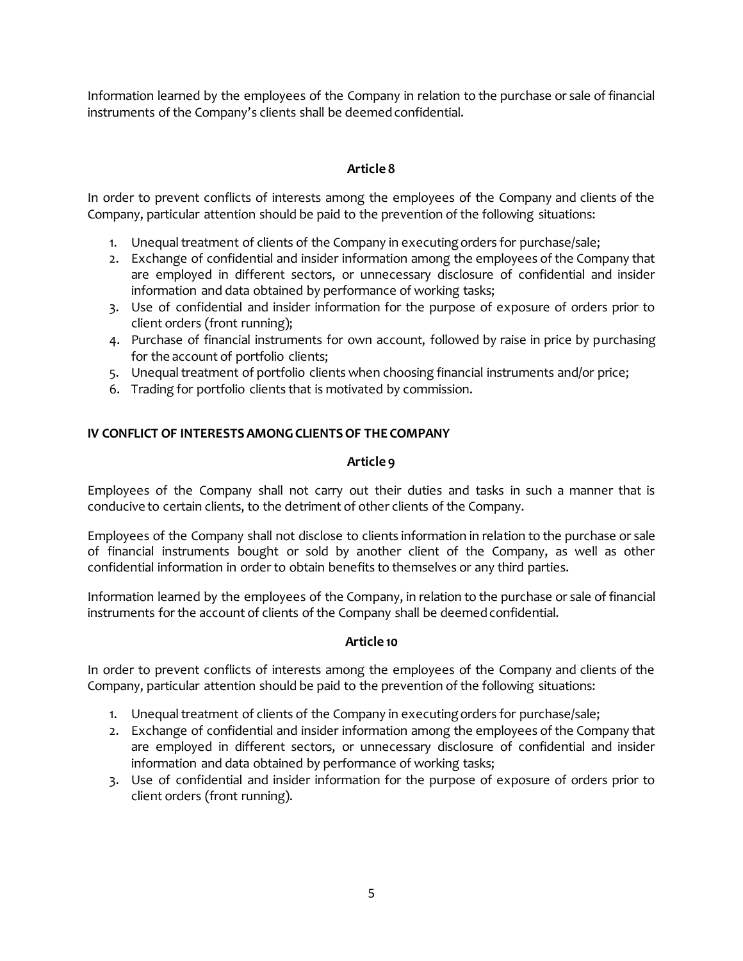Information learned by the employees of the Company in relation to the purchase or sale of financial instruments of the Company's clients shall be deemed confidential.

# **Article 8**

In order to prevent conflicts of interests among the employees of the Company and clients of the Company, particular attention should be paid to the prevention of the following situations:

- 1. Unequal treatment of clients of the Company in executing orders for purchase/sale;
- 2. Exchange of confidential and insider information among the employees of the Company that are employed in different sectors, or unnecessary disclosure of confidential and insider information and data obtained by performance of working tasks;
- 3. Use of confidential and insider information for the purpose of exposure of orders prior to client orders (front running);
- 4. Purchase of financial instruments for own account, followed by raise in price by purchasing for the account of portfolio clients;
- 5. Unequal treatment of portfolio clients when choosing financial instruments and/or price;
- 6. Trading for portfolio clients that is motivated by commission.

# **IV CONFLICT OF INTERESTS AMONG CLIENTS OF THE COMPANY**

# **Article 9**

Employees of the Company shall not carry out their duties and tasks in such a manner that is conducive to certain clients, to the detriment of other clients of the Company.

Employees of the Company shall not disclose to clients information in relation to the purchase or sale of financial instruments bought or sold by another client of the Company, as well as other confidential information in order to obtain benefits to themselves or any third parties.

Information learned by the employees of the Company, in relation to the purchase or sale of financial instruments for the account of clients of the Company shall be deemed confidential.

# **Article 10**

In order to prevent conflicts of interests among the employees of the Company and clients of the Company, particular attention should be paid to the prevention of the following situations:

- 1. Unequal treatment of clients of the Company in executing orders for purchase/sale;
- 2. Exchange of confidential and insider information among the employees of the Company that are employed in different sectors, or unnecessary disclosure of confidential and insider information and data obtained by performance of working tasks;
- 3. Use of confidential and insider information for the purpose of exposure of orders prior to client orders (front running).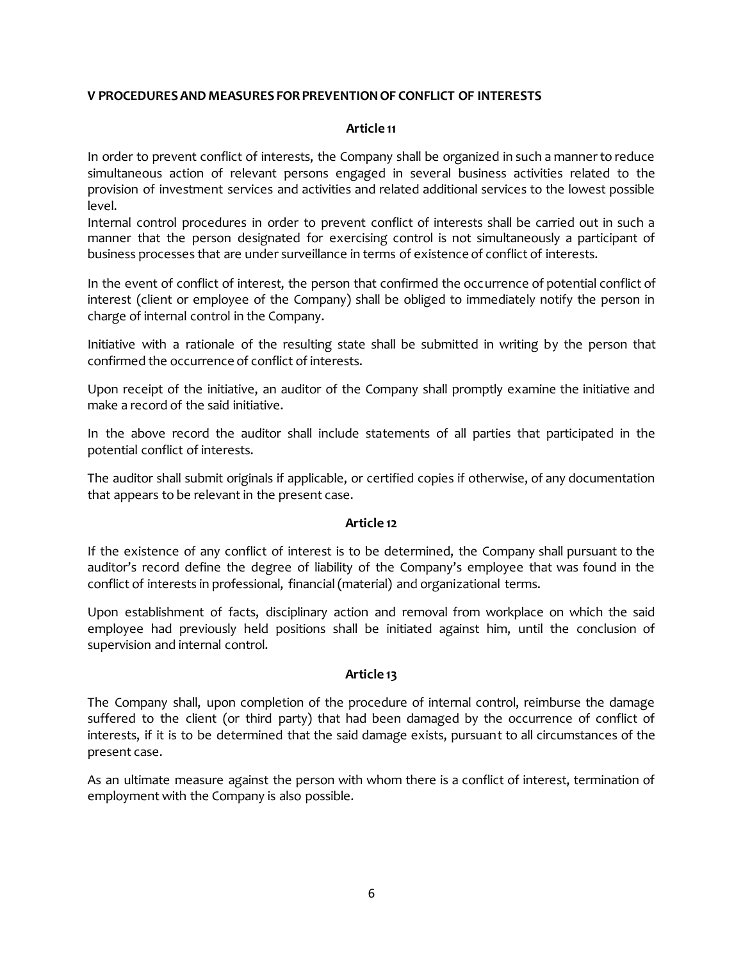# **V PROCEDURES AND MEASURES FOR PREVENTION OF CONFLICT OF INTERESTS**

#### **Article 11**

In order to prevent conflict of interests, the Company shall be organized in such a manner to reduce simultaneous action of relevant persons engaged in several business activities related to the provision of investment services and activities and related additional services to the lowest possible level.

Internal control procedures in order to prevent conflict of interests shall be carried out in such a manner that the person designated for exercising control is not simultaneously a participant of business processes that are under surveillance in terms of existence of conflict of interests.

In the event of conflict of interest, the person that confirmed the occurrence of potential conflict of interest (client or employee of the Company) shall be obliged to immediately notify the person in charge of internal control in the Company.

Initiative with a rationale of the resulting state shall be submitted in writing by the person that confirmed the occurrence of conflict of interests.

Upon receipt of the initiative, an auditor of the Company shall promptly examine the initiative and make a record of the said initiative.

In the above record the auditor shall include statements of all parties that participated in the potential conflict of interests.

The auditor shall submit originals if applicable, or certified copies if otherwise, of any documentation that appears to be relevant in the present case.

# **Article 12**

If the existence of any conflict of interest is to be determined, the Company shall pursuant to the auditor's record define the degree of liability of the Company's employee that was found in the conflict of interests in professional, financial (material) and organizational terms.

Upon establishment of facts, disciplinary action and removal from workplace on which the said employee had previously held positions shall be initiated against him, until the conclusion of supervision and internal control.

# **Article 13**

The Company shall, upon completion of the procedure of internal control, reimburse the damage suffered to the client (or third party) that had been damaged by the occurrence of conflict of interests, if it is to be determined that the said damage exists, pursuant to all circumstances of the present case.

As an ultimate measure against the person with whom there is a conflict of interest, termination of employment with the Company is also possible.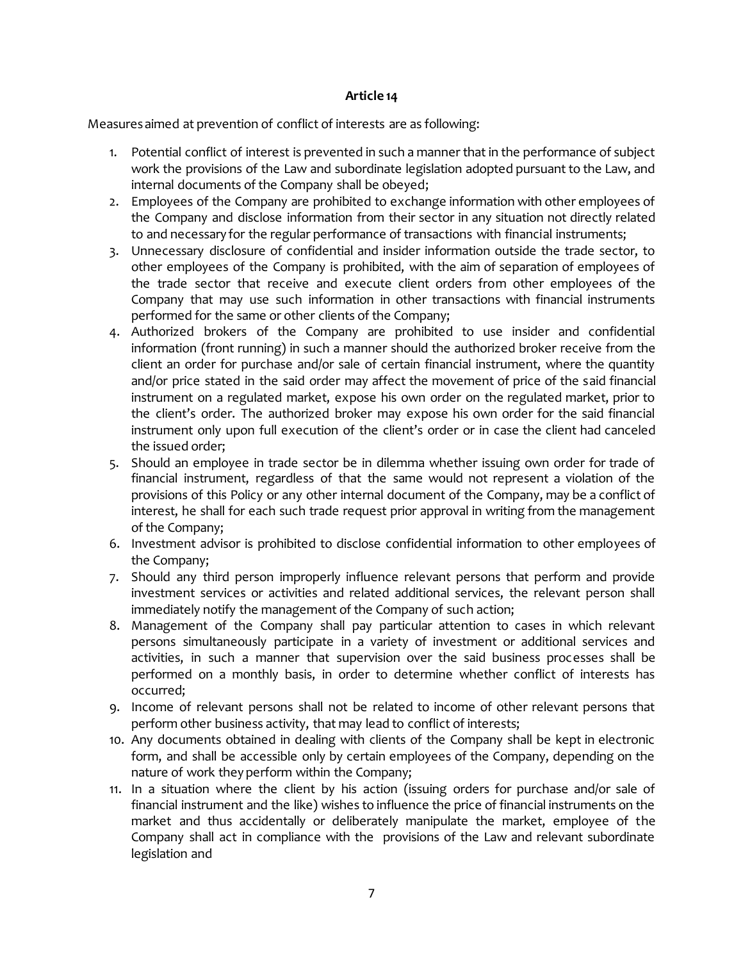# **Article 14**

Measures aimed at prevention of conflict of interests are as following:

- 1. Potential conflict of interest is prevented in such a manner that in the performance of subject work the provisions of the Law and subordinate legislation adopted pursuant to the Law, and internal documents of the Company shall be obeyed;
- 2. Employees of the Company are prohibited to exchange information with other employees of the Company and disclose information from their sector in any situation not directly related to and necessary for the regular performance of transactions with financial instruments;
- 3. Unnecessary disclosure of confidential and insider information outside the trade sector, to other employees of the Company is prohibited, with the aim of separation of employees of the trade sector that receive and execute client orders from other employees of the Company that may use such information in other transactions with financial instruments performed for the same or other clients of the Company;
- 4. Authorized brokers of the Company are prohibited to use insider and confidential information (front running) in such a manner should the authorized broker receive from the client an order for purchase and/or sale of certain financial instrument, where the quantity and/or price stated in the said order may affect the movement of price of the said financial instrument on a regulated market, expose his own order on the regulated market, prior to the client's order. The authorized broker may expose his own order for the said financial instrument only upon full execution of the client's order or in case the client had canceled the issued order;
- 5. Should an employee in trade sector be in dilemma whether issuing own order for trade of financial instrument, regardless of that the same would not represent a violation of the provisions of this Policy or any other internal document of the Company, may be a conflict of interest, he shall for each such trade request prior approval in writing from the management of the Company;
- 6. Investment advisor is prohibited to disclose confidential information to other employees of the Company;
- 7. Should any third person improperly influence relevant persons that perform and provide investment services or activities and related additional services, the relevant person shall immediately notify the management of the Company of such action;
- 8. Management of the Company shall pay particular attention to cases in which relevant persons simultaneously participate in a variety of investment or additional services and activities, in such a manner that supervision over the said business processes shall be performed on a monthly basis, in order to determine whether conflict of interests has occurred;
- 9. Income of relevant persons shall not be related to income of other relevant persons that perform other business activity, that may lead to conflict of interests;
- 10. Any documents obtained in dealing with clients of the Company shall be kept in electronic form, and shall be accessible only by certain employees of the Company, depending on the nature of work they perform within the Company;
- 11. In a situation where the client by his action (issuing orders for purchase and/or sale of financial instrument and the like) wishes to influence the price of financial instruments on the market and thus accidentally or deliberately manipulate the market, employee of the Company shall act in compliance with the provisions of the Law and relevant subordinate legislation and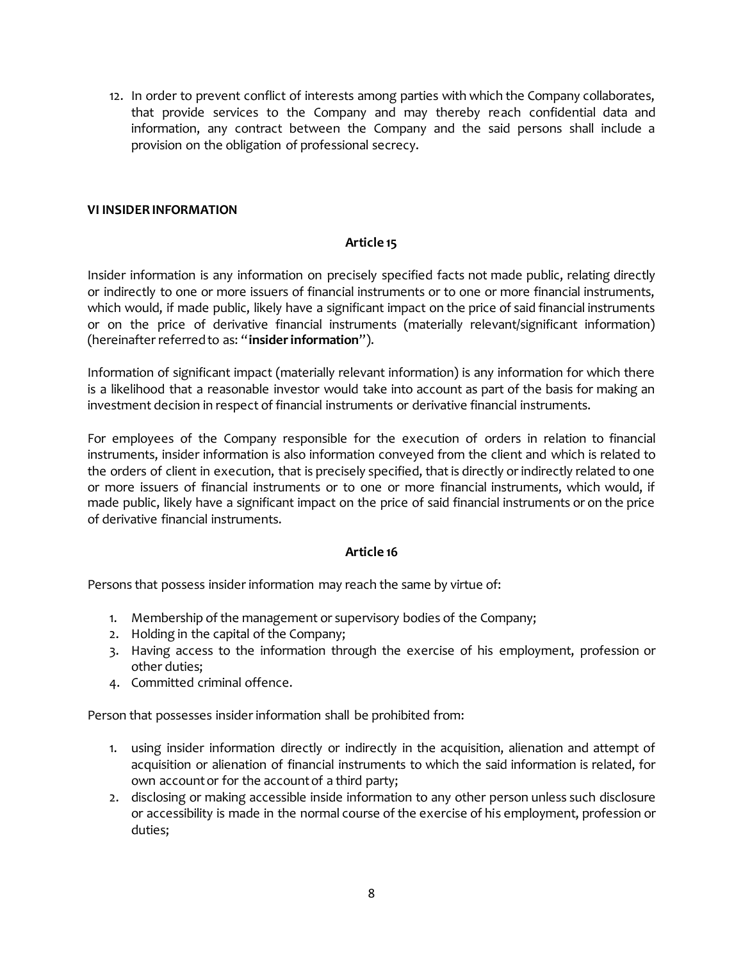12. In order to prevent conflict of interests among parties with which the Company collaborates, that provide services to the Company and may thereby reach confidential data and information, any contract between the Company and the said persons shall include a provision on the obligation of professional secrecy.

# **VI INSIDER INFORMATION**

# **Article 15**

Insider information is any information on precisely specified facts not made public, relating directly or indirectly to one or more issuers of financial instruments or to one or more financial instruments, which would, if made public, likely have a significant impact on the price of said financial instruments or on the price of derivative financial instruments (materially relevant/significant information) (hereinafter referred to as: "**insider information**").

Information of significant impact (materially relevant information) is any information for which there is a likelihood that a reasonable investor would take into account as part of the basis for making an investment decision in respect of financial instruments or derivative financial instruments.

For employees of the Company responsible for the execution of orders in relation to financial instruments, insider information is also information conveyed from the client and which is related to the orders of client in execution, that is precisely specified, that is directly or indirectly related to one or more issuers of financial instruments or to one or more financial instruments, which would, if made public, likely have a significant impact on the price of said financial instruments or on the price of derivative financial instruments.

# **Article 16**

Persons that possess insider information may reach the same by virtue of:

- 1. Membership of the management or supervisory bodies of the Company;
- 2. Holding in the capital of the Company;
- 3. Having access to the information through the exercise of his employment, profession or other duties;
- 4. Committed criminal offence.

Person that possesses insider information shall be prohibited from:

- 1. using insider information directly or indirectly in the acquisition, alienation and attempt of acquisition or alienation of financial instruments to which the said information is related, for own account or for the account of a third party;
- 2. disclosing or making accessible inside information to any other person unless such disclosure or accessibility is made in the normal course of the exercise of his employment, profession or duties;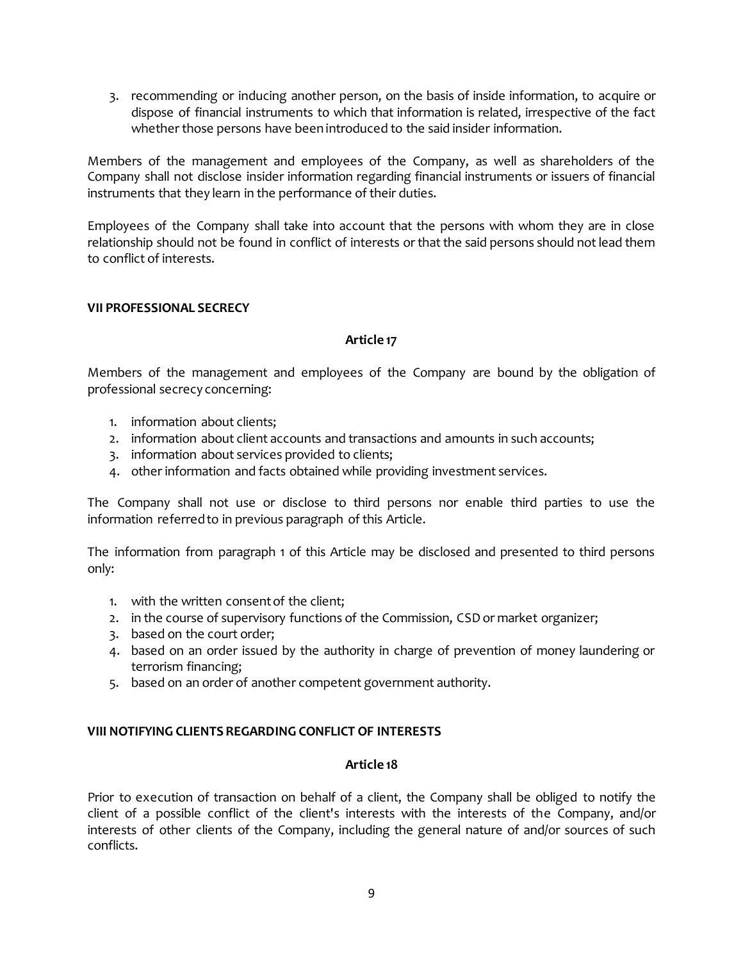3. recommending or inducing another person, on the basis of inside information, to acquire or dispose of financial instruments to which that information is related, irrespective of the fact whether those persons have been introduced to the said insider information.

Members of the management and employees of the Company, as well as shareholders of the Company shall not disclose insider information regarding financial instruments or issuers of financial instruments that they learn in the performance of their duties.

Employees of the Company shall take into account that the persons with whom they are in close relationship should not be found in conflict of interests or that the said persons should not lead them to conflict of interests.

# **VII PROFESSIONAL SECRECY**

# **Article 17**

Members of the management and employees of the Company are bound by the obligation of professional secrecy concerning:

- 1. information about clients;
- 2. information about client accounts and transactions and amounts in such accounts;
- 3. information about services provided to clients;
- 4. other information and facts obtained while providing investment services.

The Company shall not use or disclose to third persons nor enable third parties to use the information referred to in previous paragraph of this Article.

The information from paragraph 1 of this Article may be disclosed and presented to third persons only:

- 1. with the written consent of the client;
- 2. in the course of supervisory functions of the Commission, CSD or market organizer;
- 3. based on the court order;
- 4. based on an order issued by the authority in charge of prevention of money laundering or terrorism financing;
- 5. based on an order of another competent government authority.

# **VIII NOTIFYING CLIENTS REGARDING CONFLICT OF INTERESTS**

# **Article 18**

Prior to execution of transaction on behalf of a client, the Company shall be obliged to notify the client of a possible conflict of the client's interests with the interests of the Company, and/or interests of other clients of the Company, including the general nature of and/or sources of such conflicts.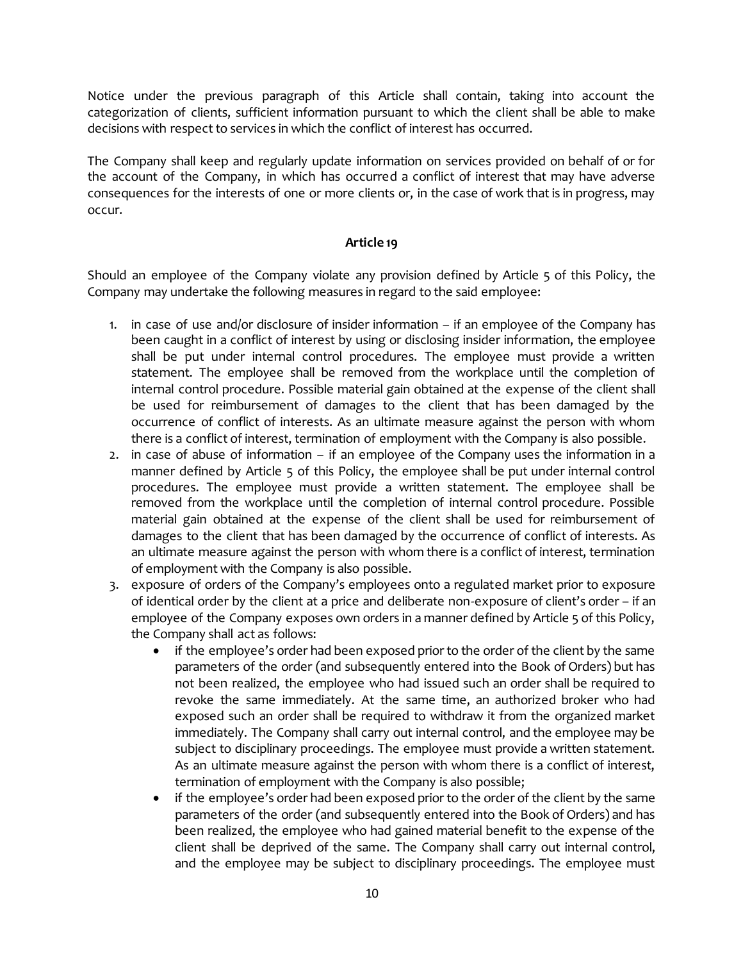Notice under the previous paragraph of this Article shall contain, taking into account the categorization of clients, sufficient information pursuant to which the client shall be able to make decisions with respect to services in which the conflict of interest has occurred.

The Company shall keep and regularly update information on services provided on behalf of or for the account of the Company, in which has occurred a conflict of interest that may have adverse consequences for the interests of one or more clients or, in the case of work that is in progress, may occur.

# **Article 19**

Should an employee of the Company violate any provision defined by Article 5 of this Policy, the Company may undertake the following measures in regard to the said employee:

- 1. in case of use and/or disclosure of insider information if an employee of the Company has been caught in a conflict of interest by using or disclosing insider information, the employee shall be put under internal control procedures. The employee must provide a written statement. The employee shall be removed from the workplace until the completion of internal control procedure. Possible material gain obtained at the expense of the client shall be used for reimbursement of damages to the client that has been damaged by the occurrence of conflict of interests. As an ultimate measure against the person with whom there is a conflict of interest, termination of employment with the Company is also possible.
- 2. in case of abuse of information if an employee of the Company uses the information in a manner defined by Article 5 of this Policy, the employee shall be put under internal control procedures. The employee must provide a written statement. The employee shall be removed from the workplace until the completion of internal control procedure. Possible material gain obtained at the expense of the client shall be used for reimbursement of damages to the client that has been damaged by the occurrence of conflict of interests. As an ultimate measure against the person with whom there is a conflict of interest, termination of employment with the Company is also possible.
- 3. exposure of orders of the Company's employees onto a regulated market prior to exposure of identical order by the client at a price and deliberate non-exposure of client's order – if an employee of the Company exposes own orders in a manner defined by Article 5 of this Policy, the Company shall act as follows:
	- if the employee's order had been exposed prior to the order of the client by the same parameters of the order (and subsequently entered into the Book of Orders) but has not been realized, the employee who had issued such an order shall be required to revoke the same immediately. At the same time, an authorized broker who had exposed such an order shall be required to withdraw it from the organized market immediately. The Company shall carry out internal control, and the employee may be subject to disciplinary proceedings. The employee must provide a written statement. As an ultimate measure against the person with whom there is a conflict of interest, termination of employment with the Company is also possible;
	- if the employee's order had been exposed prior to the order of the client by the same parameters of the order (and subsequently entered into the Book of Orders) and has been realized, the employee who had gained material benefit to the expense of the client shall be deprived of the same. The Company shall carry out internal control, and the employee may be subject to disciplinary proceedings. The employee must